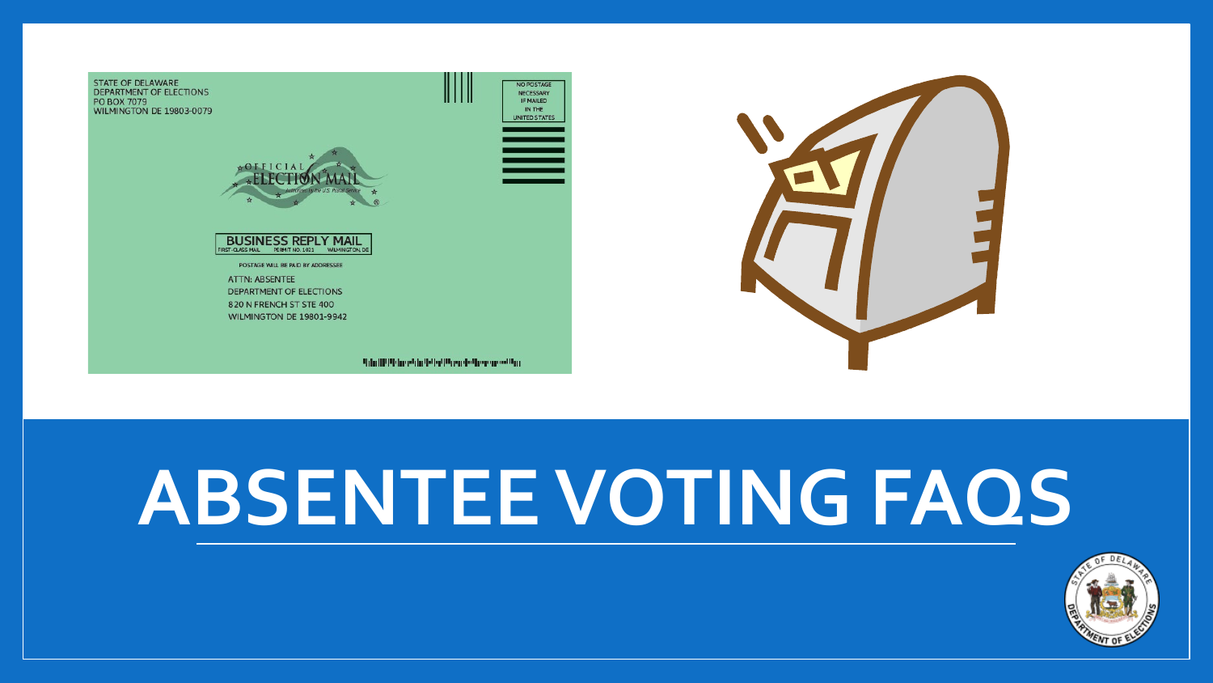



# **ABSENTEE VOTING FAQS**

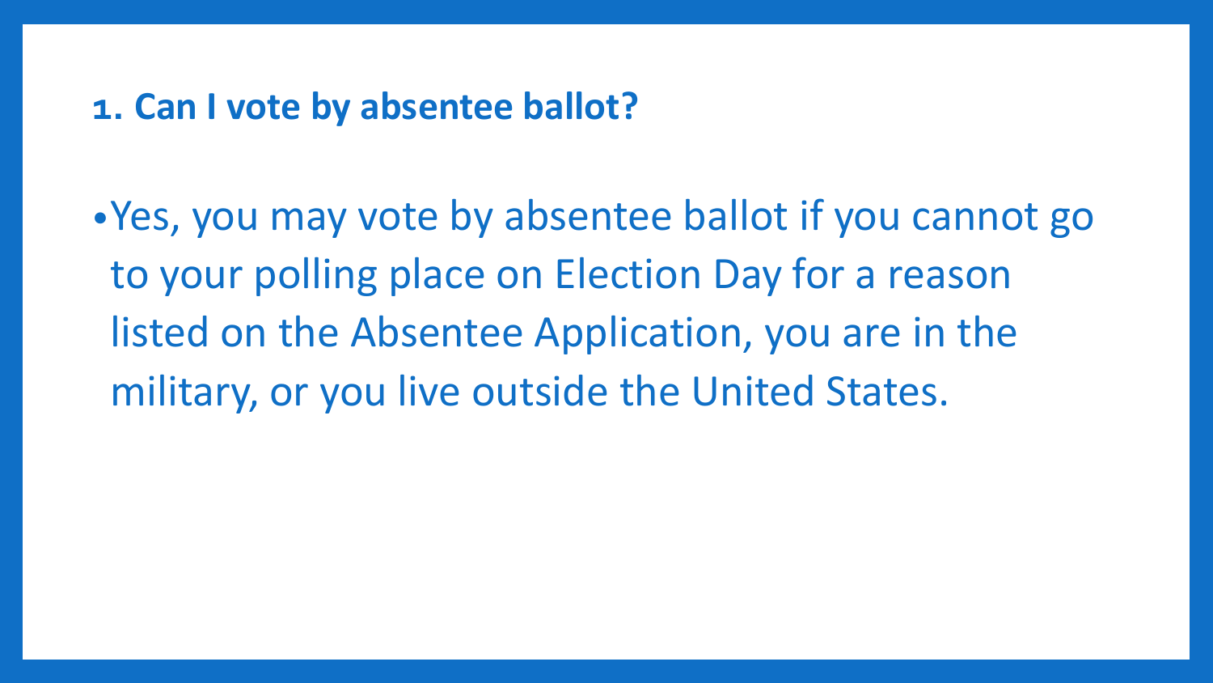#### **1. Can I vote by absentee ballot?**

•Yes, you may vote by absentee ballot if you cannot go to your polling place on Election Day for a reason listed on the Absentee Application, you are in the military, or you live outside the United States.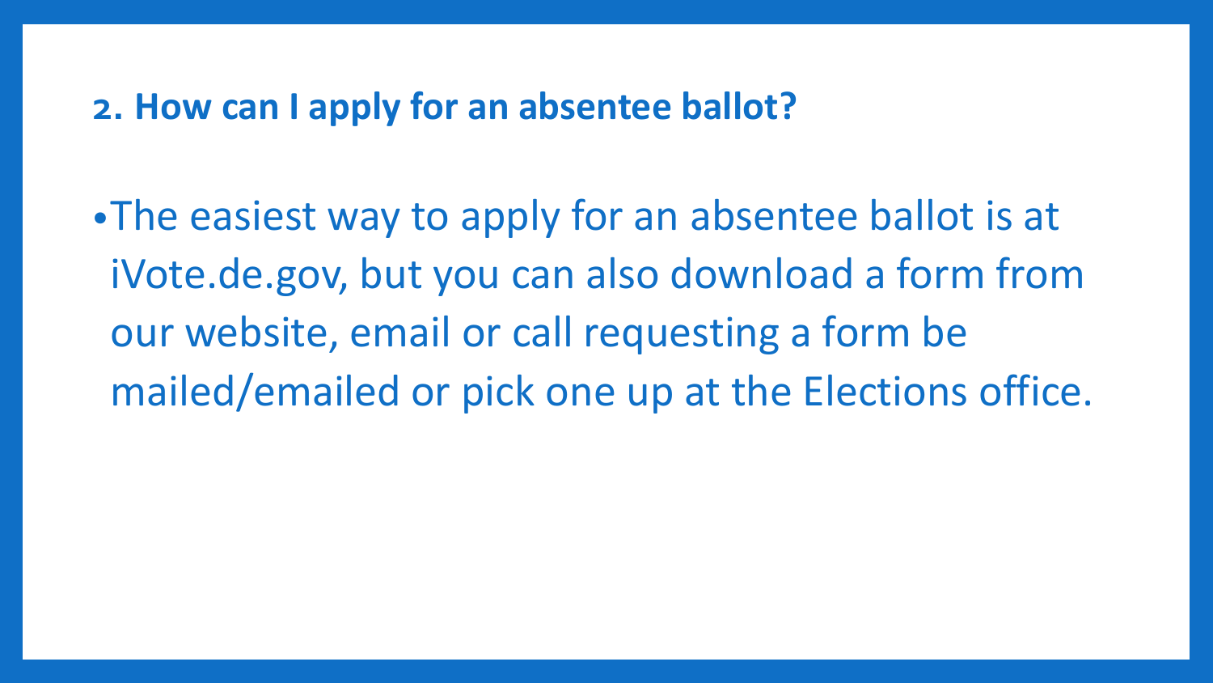#### **2. How can I apply for an absentee ballot?**

•The easiest way to apply for an absentee ballot is at iVote.de.gov, but you can also download a form from our website, email or call requesting a form be mailed/emailed or pick one up at the Elections office.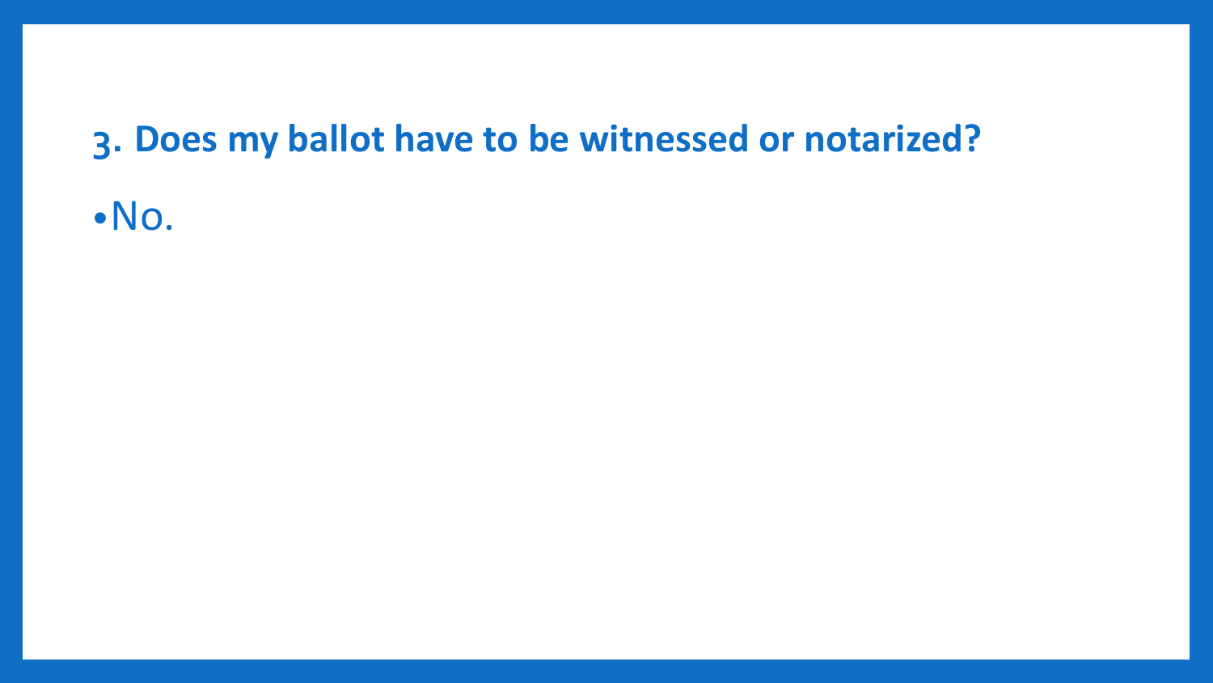## **3. Does my ballot have to be witnessed or notarized?**

•No.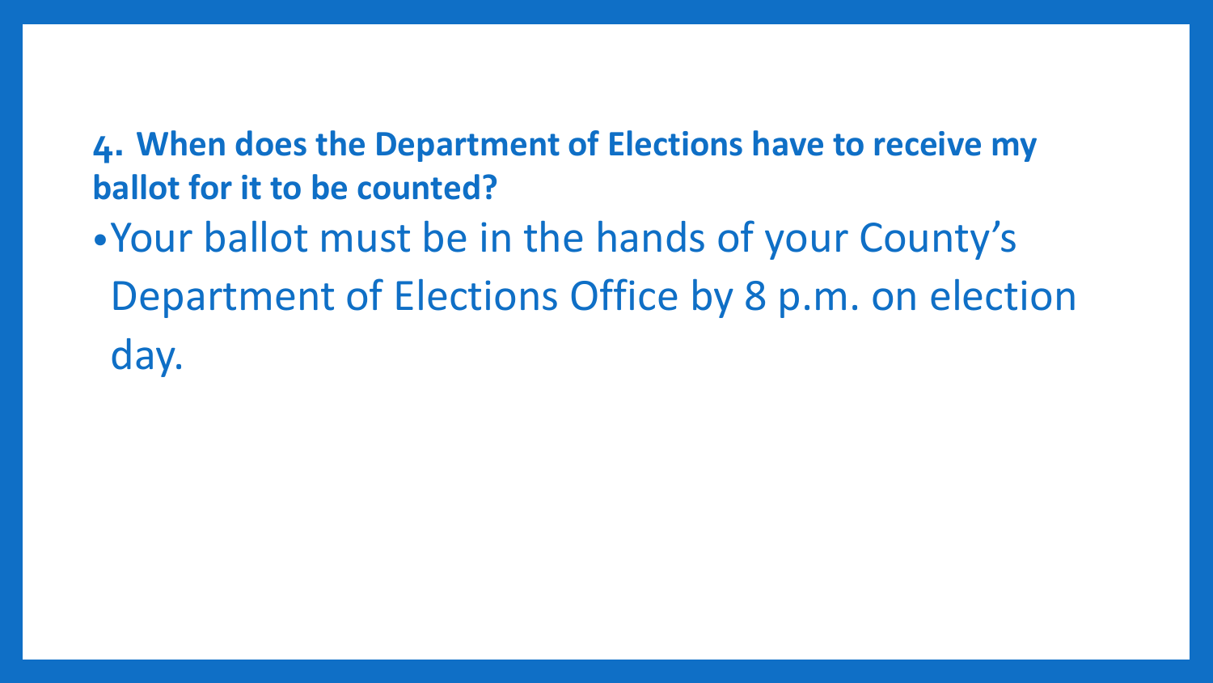### **4. When does the Department of Elections have to receive my ballot for it to be counted?**

•Your ballot must be in the hands of your County's Department of Elections Office by 8 p.m. on election day.